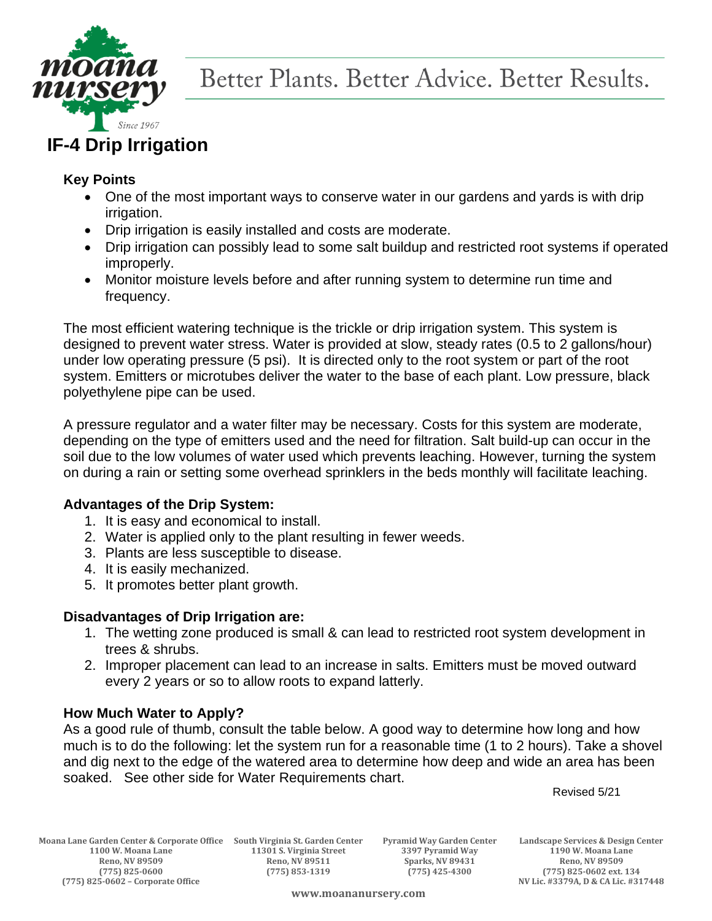

# **IF-4 Drip Irrigation**

## **Key Points**

- One of the most important ways to conserve water in our gardens and yards is with drip irrigation.
- Drip irrigation is easily installed and costs are moderate.
- Drip irrigation can possibly lead to some salt buildup and restricted root systems if operated improperly.
- Monitor moisture levels before and after running system to determine run time and frequency.

The most efficient watering technique is the trickle or drip irrigation system. This system is designed to prevent water stress. Water is provided at slow, steady rates (0.5 to 2 gallons/hour) under low operating pressure (5 psi). It is directed only to the root system or part of the root system. Emitters or microtubes deliver the water to the base of each plant. Low pressure, black polyethylene pipe can be used.

A pressure regulator and a water filter may be necessary. Costs for this system are moderate, depending on the type of emitters used and the need for filtration. Salt build-up can occur in the soil due to the low volumes of water used which prevents leaching. However, turning the system on during a rain or setting some overhead sprinklers in the beds monthly will facilitate leaching.

## **Advantages of the Drip System:**

- 1. It is easy and economical to install.
- 2. Water is applied only to the plant resulting in fewer weeds.
- 3. Plants are less susceptible to disease.
- 4. It is easily mechanized.
- 5. It promotes better plant growth.

## **Disadvantages of Drip Irrigation are:**

- 1. The wetting zone produced is small & can lead to restricted root system development in trees & shrubs.
- 2. Improper placement can lead to an increase in salts. Emitters must be moved outward every 2 years or so to allow roots to expand latterly.

#### **How Much Water to Apply?**

As a good rule of thumb, consult the table below. A good way to determine how long and how much is to do the following: let the system run for a reasonable time (1 to 2 hours). Take a shovel and dig next to the edge of the watered area to determine how deep and wide an area has been soaked. See other side for Water Requirements chart.

Revised 5/21

**Moana Lane Garden Center & Corporate Office South Virginia St. Garden Center Pyramid Way Garden Center Landscape Services & Design Center Reno, NV 89509 Reno, NV 89511 Sparks, NV 89431 Reno, NV 89509 (775) 825-0600 (775) 853-1319 (775) 425-4300 (775) 825-0602 ext. 134**

**11301 S. Virginia Street** 

**(775) 825-0602 – Corporate Office NV Lic. #3379A, D & CA Lic. #317448**